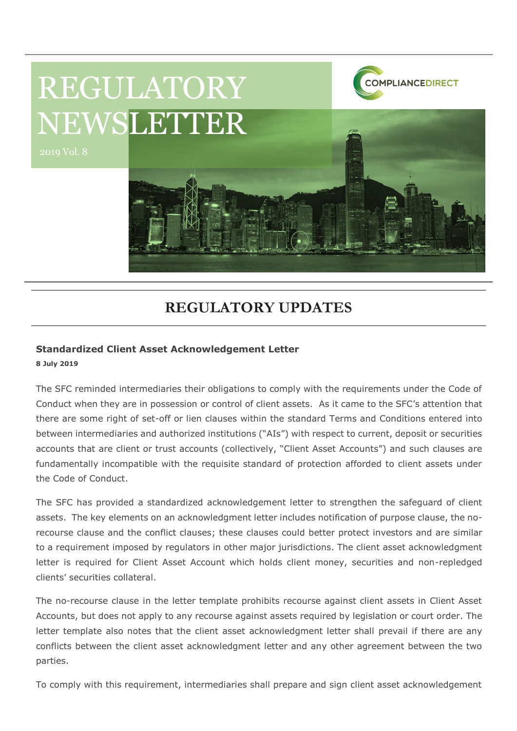

# **REGULATORY UPDATES**

#### **Standardized Client Asset Acknowledgement Letter**

**8 July 2019**

The SFC reminded intermediaries their obligations to comply with the requirements under the Code of Conduct when they are in possession or control of client assets. As it came to the SFC's attention that there are some right of set-off or lien clauses within the standard Terms and Conditions entered into between intermediaries and authorized institutions ("AIs") with respect to current, deposit or securities accounts that are client or trust accounts (collectively, "Client Asset Accounts") and such clauses are fundamentally incompatible with the requisite standard of protection afforded to client assets under the Code of Conduct.

The SFC has provided a standardized acknowledgement letter to strengthen the safeguard of client assets. The key elements on an acknowledgment letter includes notification of purpose clause, the norecourse clause and the conflict clauses; these clauses could better protect investors and are similar to a requirement imposed by regulators in other major jurisdictions. The client asset acknowledgment letter is required for Client Asset Account which holds client money, securities and non-repledged clients' securities collateral.

The no-recourse clause in the letter template prohibits recourse against client assets in Client Asset Accounts, but does not apply to any recourse against assets required by legislation or court order. The letter template also notes that the client asset acknowledgment letter shall prevail if there are any conflicts between the client asset acknowledgment letter and any other agreement between the two parties.

To comply with this requirement, intermediaries shall prepare and sign client asset acknowledgement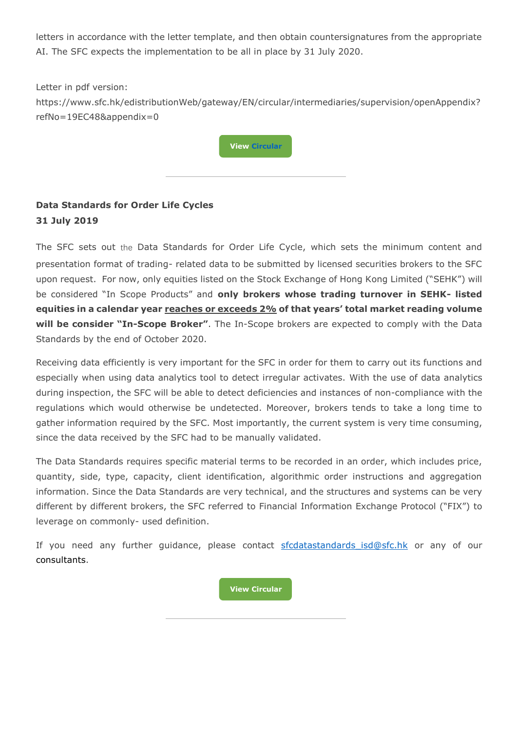letters in accordance with the letter template, and then obtain countersignatures from the appropriate AI. The SFC expects the implementation to be all in place by 31 July 2020.

Letter in pdf version: https://www.sfc.hk/edistributionWeb/gateway/EN/circular/intermediaries/supervision/openAppendix? refNo=19EC48&appendix=0



## **Data Standards for Order Life Cycles 31 July 2019**

The SFC sets out the Data Standards for Order Life Cycle, which sets the minimum content and presentation format of trading- related data to be submitted by licensed securities brokers to the SFC upon request. For now, only equities listed on the Stock Exchange of Hong Kong Limited ("SEHK") will be considered "In Scope Products" and **only brokers whose trading turnover in SEHK- listed equities in a calendar year reaches or exceeds 2% of that years' total market reading volume will be consider "In-Scope Broker"**. The In-Scope brokers are expected to comply with the Data Standards by the end of October 2020.

Receiving data efficiently is very important for the SFC in order for them to carry out its functions and especially when using data analytics tool to detect irregular activates. With the use of data analytics during inspection, the SFC will be able to detect deficiencies and instances of non-compliance with the regulations which would otherwise be undetected. Moreover, brokers tends to take a long time to gather information required by the SFC. Most importantly, the current system is very time consuming, since the data received by the SFC had to be manually validated.

The Data Standards requires specific material terms to be recorded in an order, which includes price, quantity, side, type, capacity, client identification, algorithmic order instructions and aggregation information. Since the Data Standards are very technical, and the structures and systems can be very different by different brokers, the SFC referred to Financial Information Exchange Protocol ("FIX") to leverage on commonly- used definition.

If you need any further guidance, please contact sfcdatastandards isd@sfc.hk or any of our consultants.

**[View Circular](https://www.sfc.hk/edistributionWeb/gateway/EN/circular/intermediaries/supervision/doc?refNo=19EC50)**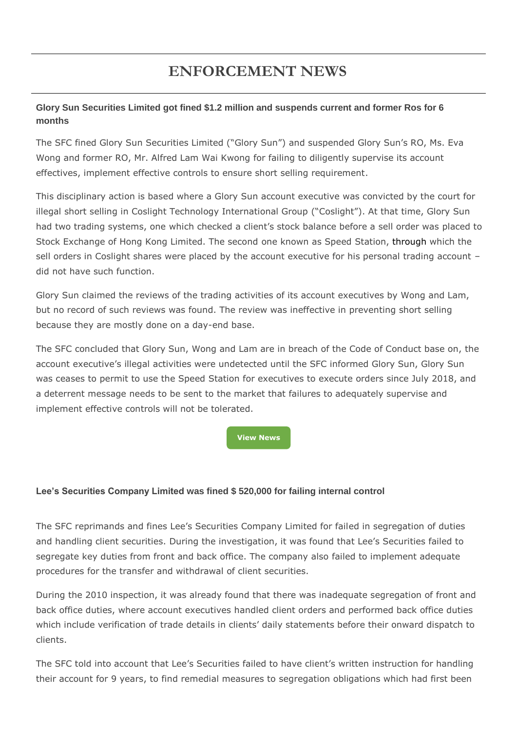# **ENFORCEMENT NEWS**

### **Glory Sun Securities Limited got fined \$1.2 million and suspends current and former Ros for 6 months**

The SFC fined Glory Sun Securities Limited ("Glory Sun") and suspended Glory Sun's RO, Ms. Eva Wong and former RO, Mr. Alfred Lam Wai Kwong for failing to diligently supervise its account effectives, implement effective controls to ensure short selling requirement.

This disciplinary action is based where a Glory Sun account executive was convicted by the court for illegal short selling in Coslight Technology International Group ("Coslight"). At that time, Glory Sun had two trading systems, one which checked a client's stock balance before a sell order was placed to Stock Exchange of Hong Kong Limited. The second one known as Speed Station, through which the sell orders in Coslight shares were placed by the account executive for his personal trading account did not have such function.

Glory Sun claimed the reviews of the trading activities of its account executives by Wong and Lam, but no record of such reviews was found. The review was ineffective in preventing short selling because they are mostly done on a day-end base.

The SFC concluded that Glory Sun, Wong and Lam are in breach of the Code of Conduct base on, the account executive's illegal activities were undetected until the SFC informed Glory Sun, Glory Sun was ceases to permit to use the Speed Station for executives to execute orders since July 2018, and a deterrent message needs to be sent to the market that failures to adequately supervise and implement effective controls will not be tolerated.

**[View News](https://www.sfc.hk/edistributionWeb/gateway/EN/news-and-announcements/news/enforcement-news/doc?refNo=19PR65)**

#### **Lee's Securities Company Limited was fined \$ 520,000 for failing internal control**

The SFC reprimands and fines Lee's Securities Company Limited for failed in segregation of duties and handling client securities. During the investigation, it was found that Lee's Securities failed to segregate key duties from front and back office. The company also failed to implement adequate procedures for the transfer and withdrawal of client securities.

During the 2010 inspection, it was already found that there was inadequate segregation of front and back office duties, where account executives handled client orders and performed back office duties which include verification of trade details in clients' daily statements before their onward dispatch to clients.

The SFC told into account that Lee's Securities failed to have client's written instruction for handling their account for 9 years, to find remedial measures to segregation obligations which had first been